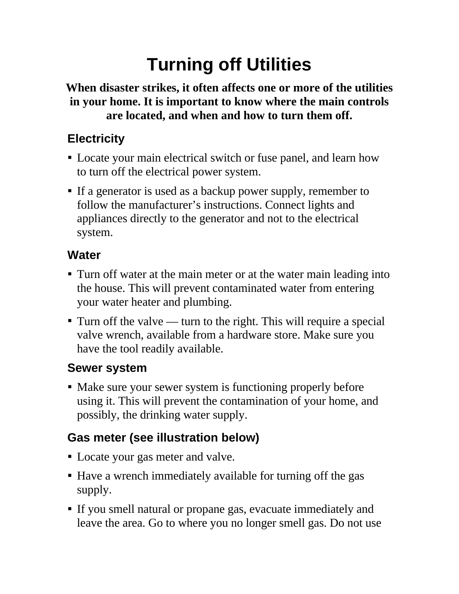# **Turning off Utilities**

#### **When disaster strikes, it often affects one or more of the utilities in your home. It is important to know where the main controls are located, and when and how to turn them off.**

### **Electricity**

- Locate your main electrical switch or fuse panel, and learn how to turn off the electrical power system.
- If a generator is used as a backup power supply, remember to follow the manufacturer's instructions. Connect lights and appliances directly to the generator and not to the electrical system.

#### **Water**

- Turn off water at the main meter or at the water main leading into the house. This will prevent contaminated water from entering your water heater and plumbing.
- $\blacksquare$  Turn off the valve turn to the right. This will require a special valve wrench, available from a hardware store. Make sure you have the tool readily available.

### **Sewer system**

• Make sure your sewer system is functioning properly before using it. This will prevent the contamination of your home, and possibly, the drinking water supply.

## **Gas meter (see illustration below)**

- Locate your gas meter and valve.
- Have a wrench immediately available for turning off the gas supply.
- If you smell natural or propane gas, evacuate immediately and leave the area. Go to where you no longer smell gas. Do not use